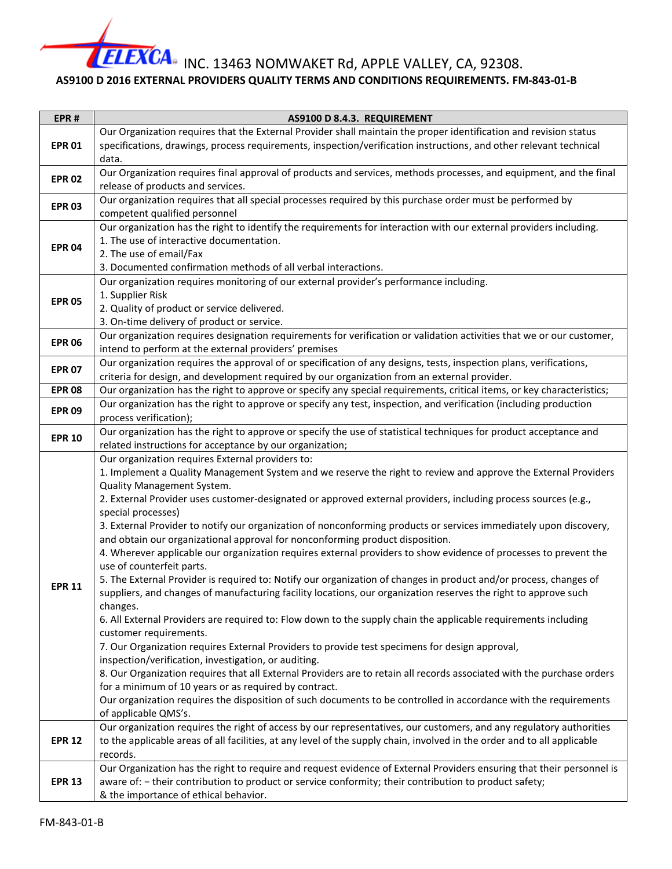INC. 13463 NOMWAKET Rd, APPLE VALLEY, CA, 92308.

## **AS9100 D 2016 EXTERNAL PROVIDERS QUALITY TERMS AND CONDITIONS REQUIREMENTS. FM-843-01-B**

| EPR#                                                             | AS9100 D 8.4.3. REQUIREMENT                                                                                                                                         |
|------------------------------------------------------------------|---------------------------------------------------------------------------------------------------------------------------------------------------------------------|
| <b>EPR 01</b>                                                    | Our Organization requires that the External Provider shall maintain the proper identification and revision status                                                   |
|                                                                  | specifications, drawings, process requirements, inspection/verification instructions, and other relevant technical                                                  |
|                                                                  | data.                                                                                                                                                               |
| <b>EPR 02</b>                                                    | Our Organization requires final approval of products and services, methods processes, and equipment, and the final                                                  |
|                                                                  | release of products and services.                                                                                                                                   |
| <b>EPR 03</b>                                                    | Our organization requires that all special processes required by this purchase order must be performed by                                                           |
|                                                                  | competent qualified personnel                                                                                                                                       |
| <b>EPR 04</b>                                                    | Our organization has the right to identify the requirements for interaction with our external providers including.                                                  |
|                                                                  | 1. The use of interactive documentation.                                                                                                                            |
|                                                                  | 2. The use of email/Fax                                                                                                                                             |
|                                                                  | 3. Documented confirmation methods of all verbal interactions.                                                                                                      |
| <b>EPR 05</b><br><b>EPR 06</b><br><b>EPR 07</b><br><b>EPR 08</b> | Our organization requires monitoring of our external provider's performance including.                                                                              |
|                                                                  | 1. Supplier Risk                                                                                                                                                    |
|                                                                  | 2. Quality of product or service delivered.                                                                                                                         |
|                                                                  | 3. On-time delivery of product or service.<br>Our organization requires designation requirements for verification or validation activities that we or our customer, |
|                                                                  | intend to perform at the external providers' premises                                                                                                               |
|                                                                  | Our organization requires the approval of or specification of any designs, tests, inspection plans, verifications,                                                  |
|                                                                  | criteria for design, and development required by our organization from an external provider.                                                                        |
|                                                                  | Our organization has the right to approve or specify any special requirements, critical items, or key characteristics;                                              |
| <b>EPR 09</b>                                                    | Our organization has the right to approve or specify any test, inspection, and verification (including production                                                   |
|                                                                  | process verification);                                                                                                                                              |
|                                                                  | Our organization has the right to approve or specify the use of statistical techniques for product acceptance and                                                   |
| <b>EPR 10</b>                                                    | related instructions for acceptance by our organization;                                                                                                            |
|                                                                  | Our organization requires External providers to:                                                                                                                    |
|                                                                  | 1. Implement a Quality Management System and we reserve the right to review and approve the External Providers                                                      |
|                                                                  | Quality Management System.                                                                                                                                          |
|                                                                  | 2. External Provider uses customer-designated or approved external providers, including process sources (e.g.,                                                      |
|                                                                  | special processes)                                                                                                                                                  |
|                                                                  | 3. External Provider to notify our organization of nonconforming products or services immediately upon discovery,                                                   |
|                                                                  | and obtain our organizational approval for nonconforming product disposition.                                                                                       |
|                                                                  | 4. Wherever applicable our organization requires external providers to show evidence of processes to prevent the                                                    |
|                                                                  | use of counterfeit parts.                                                                                                                                           |
| <b>EPR 11</b>                                                    | 5. The External Provider is required to: Notify our organization of changes in product and/or process, changes of                                                   |
|                                                                  | suppliers, and changes of manufacturing facility locations, our organization reserves the right to approve such                                                     |
|                                                                  | changes.<br>6. All External Providers are required to: Flow down to the supply chain the applicable requirements including                                          |
|                                                                  | customer requirements.                                                                                                                                              |
|                                                                  | 7. Our Organization requires External Providers to provide test specimens for design approval,                                                                      |
|                                                                  | inspection/verification, investigation, or auditing.                                                                                                                |
|                                                                  | 8. Our Organization requires that all External Providers are to retain all records associated with the purchase orders                                              |
|                                                                  | for a minimum of 10 years or as required by contract.                                                                                                               |
|                                                                  | Our organization requires the disposition of such documents to be controlled in accordance with the requirements                                                    |
|                                                                  | of applicable QMS's.                                                                                                                                                |
|                                                                  | Our organization requires the right of access by our representatives, our customers, and any regulatory authorities                                                 |
| <b>EPR 12</b>                                                    | to the applicable areas of all facilities, at any level of the supply chain, involved in the order and to all applicable                                            |
|                                                                  | records.                                                                                                                                                            |
| <b>EPR 13</b>                                                    | Our Organization has the right to require and request evidence of External Providers ensuring that their personnel is                                               |
|                                                                  | aware of: - their contribution to product or service conformity; their contribution to product safety;                                                              |
|                                                                  | & the importance of ethical behavior.                                                                                                                               |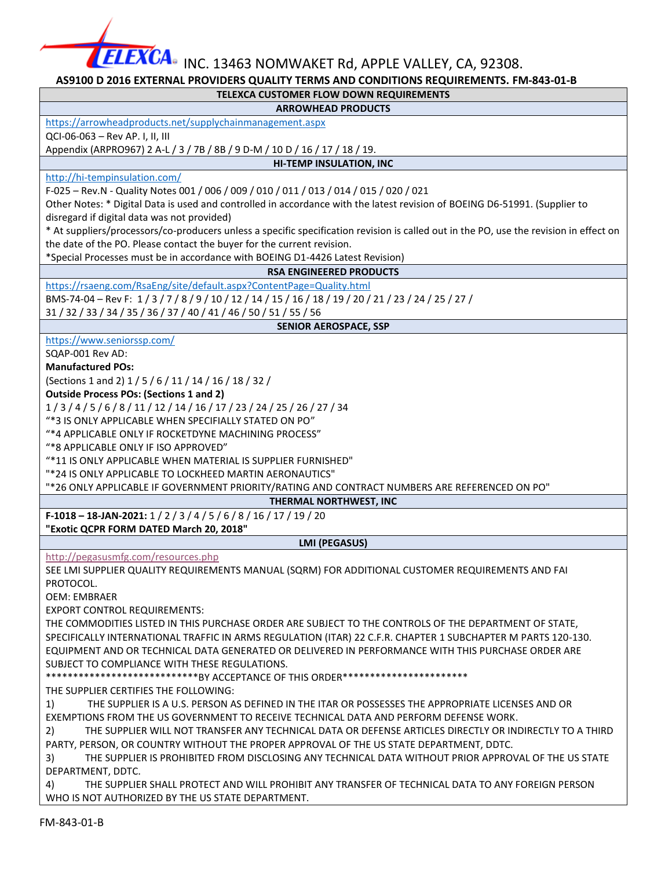$\overline{\textbf{EXCA}}$ • INC. 13463 NOMWAKET Rd, APPLE VALLEY, CA, 92308.

## **AS9100 D 2016 EXTERNAL PROVIDERS QUALITY TERMS AND CONDITIONS REQUIREMENTS. FM-843-01-B**

#### **TELEXCA CUSTOMER FLOW DOWN REQUIREMENTS**

#### **ARROWHEAD PRODUCTS**

<https://arrowheadproducts.net/supplychainmanagement.aspx>

QCI-06-063 – Rev AP. I, II, III

Appendix (ARPRO967) 2 A-L / 3 / 7B / 8B / 9 D-M / 10 D / 16 / 17 / 18 / 19. **HI-TEMP INSULATION, INC**

### <http://hi-tempinsulation.com/>

F-025 – Rev.N - Quality Notes 001 / 006 / 009 / 010 / 011 / 013 / 014 / 015 / 020 / 021

Other Notes: \* Digital Data is used and controlled in accordance with the latest revision of BOEING D6-51991. (Supplier to disregard if digital data was not provided)

\* At suppliers/processors/co-producers unless a specific specification revision is called out in the PO, use the revision in effect on the date of the PO. Please contact the buyer for the current revision.

\*Special Processes must be in accordance with BOEING D1-4426 Latest Revision)

## **RSA ENGINEERED PRODUCTS**

<https://rsaeng.com/RsaEng/site/default.aspx?ContentPage=Quality.html>

BMS-74-04 – Rev F: 1 / 3 / 7 / 8 / 9 / 10 / 12 / 14 / 15 / 16 / 18 / 19 / 20 / 21 / 23 / 24 / 25 / 27 /

31 / 32 / 33 / 34 / 35 / 36 / 37 / 40 / 41 / 46 / 50 / 51 / 55 / 56

#### **SENIOR AEROSPACE, SSP**

<https://www.seniorssp.com/>

SQAP-001 Rev AD:

**Manufactured POs:** 

(Sections 1 and 2) 1 / 5 / 6 / 11 / 14 / 16 / 18 / 32 /

**Outside Process POs: (Sections 1 and 2)**

1 / 3 / 4 / 5 / 6 / 8 / 11 / 12 / 14 / 16 / 17 / 23 / 24 / 25 / 26 / 27 / 34

"\*3 IS ONLY APPLICABLE WHEN SPECIFIALLY STATED ON PO"

"\*4 APPLICABLE ONLY IF ROCKETDYNE MACHINING PROCESS"

"\*8 APPLICABLE ONLY IF ISO APPROVED"

"\*11 IS ONLY APPLICABLE WHEN MATERIAL IS SUPPLIER FURNISHED"

"\*24 IS ONLY APPLICABLE TO LOCKHEED MARTIN AERONAUTICS"

"\*26 ONLY APPLICABLE IF GOVERNMENT PRIORITY/RATING AND CONTRACT NUMBERS ARE REFERENCED ON PO"

**THERMAL NORTHWEST, INC F-1018 – 18-JAN-2021:** 1 / 2 / 3 / 4 / 5 / 6 / 8 / 16 / 17 / 19 / 20 **"Exotic QCPR FORM DATED March 20, 2018"**

**LMI (PEGASUS)**

<http://pegasusmfg.com/resources.php>

SEE LMI SUPPLIER QUALITY REQUIREMENTS MANUAL (SQRM) FOR ADDITIONAL CUSTOMER REQUIREMENTS AND FAI PROTOCOL.

OEM: EMBRAER

EXPORT CONTROL REQUIREMENTS:

THE COMMODITIES LISTED IN THIS PURCHASE ORDER ARE SUBJECT TO THE CONTROLS OF THE DEPARTMENT OF STATE, SPECIFICALLY INTERNATIONAL TRAFFIC IN ARMS REGULATION (ITAR) 22 C.F.R. CHAPTER 1 SUBCHAPTER M PARTS 120-130. EQUIPMENT AND OR TECHNICAL DATA GENERATED OR DELIVERED IN PERFORMANCE WITH THIS PURCHASE ORDER ARE SUBJECT TO COMPLIANCE WITH THESE REGULATIONS.

\*\*\*\*\*\*\*\*\*\*\*\*\*\*\*\*\*\*\*\*\*\*\*\*\*\*\*\*BY ACCEPTANCE OF THIS ORDER\*\*\*\*\*\*\*\*\*\*\*\*\*\*\*\*\*\*\*\*\*\*\*

THE SUPPLIER CERTIFIES THE FOLLOWING:

1) THE SUPPLIER IS A U.S. PERSON AS DEFINED IN THE ITAR OR POSSESSES THE APPROPRIATE LICENSES AND OR EXEMPTIONS FROM THE US GOVERNMENT TO RECEIVE TECHNICAL DATA AND PERFORM DEFENSE WORK.

2) THE SUPPLIER WILL NOT TRANSFER ANY TECHNICAL DATA OR DEFENSE ARTICLES DIRECTLY OR INDIRECTLY TO A THIRD PARTY, PERSON, OR COUNTRY WITHOUT THE PROPER APPROVAL OF THE US STATE DEPARTMENT, DDTC.

3) THE SUPPLIER IS PROHIBITED FROM DISCLOSING ANY TECHNICAL DATA WITHOUT PRIOR APPROVAL OF THE US STATE DEPARTMENT, DDTC.

4) THE SUPPLIER SHALL PROTECT AND WILL PROHIBIT ANY TRANSFER OF TECHNICAL DATA TO ANY FOREIGN PERSON WHO IS NOT AUTHORIZED BY THE US STATE DEPARTMENT.

FM-843-01-B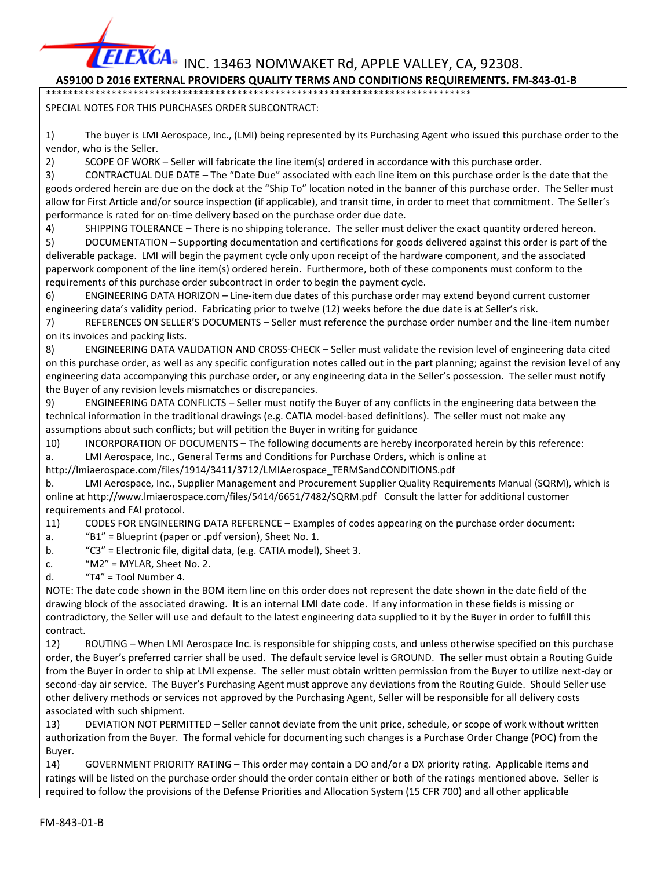$\widetilde{\text{EXCA}}$ • INC. 13463 NOMWAKET Rd, APPLE VALLEY, CA, 92308.

## **AS9100 D 2016 EXTERNAL PROVIDERS QUALITY TERMS AND CONDITIONS REQUIREMENTS. FM-843-01-B**

\*\*\*\*\*\*\*\*\*\*\*\*\*\*\*\*\*\*\*\*\*\*\*\*\*\*\*\*\*\*\*\*\*\*\*\*\*\*\*\*\*\*\*\*\*\*\*\*\*\*\*\*\*\*\*\*\*\*\*\*\*\*\*\*\*\*\*\*\*\*\*\*\*\*\*\*\*\*

SPECIAL NOTES FOR THIS PURCHASES ORDER SUBCONTRACT:

1) The buyer is LMI Aerospace, Inc., (LMI) being represented by its Purchasing Agent who issued this purchase order to the vendor, who is the Seller.

2) SCOPE OF WORK – Seller will fabricate the line item(s) ordered in accordance with this purchase order.

3) CONTRACTUAL DUE DATE – The "Date Due" associated with each line item on this purchase order is the date that the goods ordered herein are due on the dock at the "Ship To" location noted in the banner of this purchase order. The Seller must allow for First Article and/or source inspection (if applicable), and transit time, in order to meet that commitment. The Seller's performance is rated for on-time delivery based on the purchase order due date.

4) SHIPPING TOLERANCE – There is no shipping tolerance. The seller must deliver the exact quantity ordered hereon.

5) DOCUMENTATION – Supporting documentation and certifications for goods delivered against this order is part of the deliverable package. LMI will begin the payment cycle only upon receipt of the hardware component, and the associated paperwork component of the line item(s) ordered herein. Furthermore, both of these components must conform to the requirements of this purchase order subcontract in order to begin the payment cycle.

6) ENGINEERING DATA HORIZON – Line-item due dates of this purchase order may extend beyond current customer engineering data's validity period. Fabricating prior to twelve (12) weeks before the due date is at Seller's risk.

7) REFERENCES ON SELLER'S DOCUMENTS – Seller must reference the purchase order number and the line-item number on its invoices and packing lists.

8) ENGINEERING DATA VALIDATION AND CROSS-CHECK – Seller must validate the revision level of engineering data cited on this purchase order, as well as any specific configuration notes called out in the part planning; against the revision level of any engineering data accompanying this purchase order, or any engineering data in the Seller's possession. The seller must notify the Buyer of any revision levels mismatches or discrepancies.

9) ENGINEERING DATA CONFLICTS – Seller must notify the Buyer of any conflicts in the engineering data between the technical information in the traditional drawings (e.g. CATIA model-based definitions). The seller must not make any assumptions about such conflicts; but will petition the Buyer in writing for guidance

10) INCORPORATION OF DOCUMENTS – The following documents are hereby incorporated herein by this reference: a. LMI Aerospace, Inc., General Terms and Conditions for Purchase Orders, which is online at

http://lmiaerospace.com/files/1914/3411/3712/LMIAerospace\_TERMSandCONDITIONS.pdf

b. LMI Aerospace, Inc., Supplier Management and Procurement Supplier Quality Requirements Manual (SQRM), which is online at http://www.lmiaerospace.com/files/5414/6651/7482/SQRM.pdf Consult the latter for additional customer requirements and FAI protocol.

11) CODES FOR ENGINEERING DATA REFERENCE – Examples of codes appearing on the purchase order document:

- a. "B1" = Blueprint (paper or .pdf version), Sheet No. 1.
- b. "C3" = Electronic file, digital data, (e.g. CATIA model), Sheet 3.
- c.  $M2'' = MYLAR$ , Sheet No. 2.
- d.  $"T4" = Tool Number 4.$

NOTE: The date code shown in the BOM item line on this order does not represent the date shown in the date field of the drawing block of the associated drawing. It is an internal LMI date code. If any information in these fields is missing or contradictory, the Seller will use and default to the latest engineering data supplied to it by the Buyer in order to fulfill this contract.

12) ROUTING – When LMI Aerospace Inc. is responsible for shipping costs, and unless otherwise specified on this purchase order, the Buyer's preferred carrier shall be used. The default service level is GROUND. The seller must obtain a Routing Guide from the Buyer in order to ship at LMI expense. The seller must obtain written permission from the Buyer to utilize next-day or second-day air service. The Buyer's Purchasing Agent must approve any deviations from the Routing Guide. Should Seller use other delivery methods or services not approved by the Purchasing Agent, Seller will be responsible for all delivery costs associated with such shipment.

13) DEVIATION NOT PERMITTED – Seller cannot deviate from the unit price, schedule, or scope of work without written authorization from the Buyer. The formal vehicle for documenting such changes is a Purchase Order Change (POC) from the Buyer.

14) GOVERNMENT PRIORITY RATING – This order may contain a DO and/or a DX priority rating. Applicable items and ratings will be listed on the purchase order should the order contain either or both of the ratings mentioned above. Seller is required to follow the provisions of the Defense Priorities and Allocation System (15 CFR 700) and all other applicable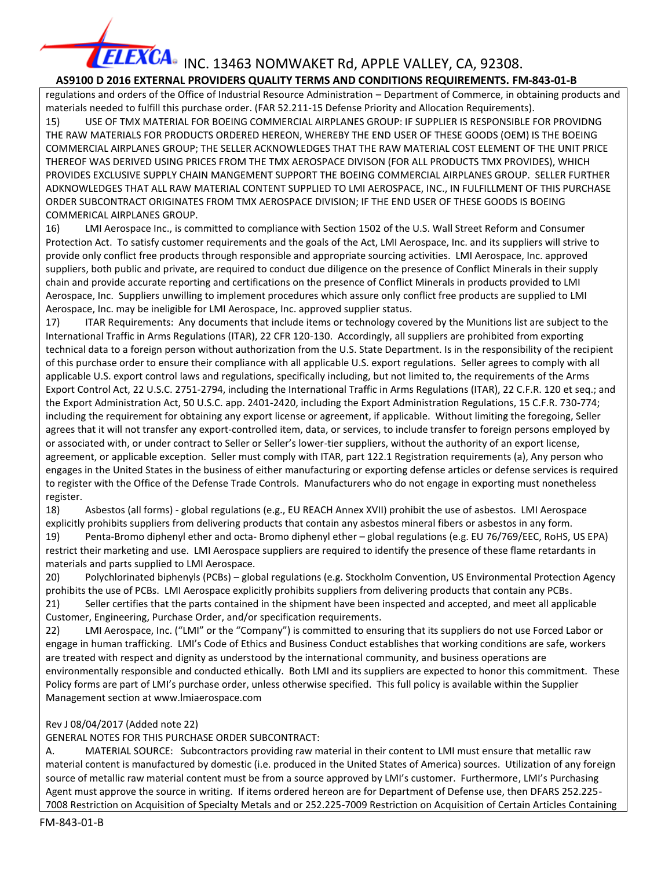## **FLEXCA** INC. 13463 NOMWAKET Rd, APPLE VALLEY, CA, 92308.  **AS9100 D 2016 EXTERNAL PROVIDERS QUALITY TERMS AND CONDITIONS REQUIREMENTS. FM-843-01-B**

regulations and orders of the Office of Industrial Resource Administration – Department of Commerce, in obtaining products and materials needed to fulfill this purchase order. (FAR 52.211-15 Defense Priority and Allocation Requirements). 15) USE OF TMX MATERIAL FOR BOEING COMMERCIAL AIRPLANES GROUP: IF SUPPLIER IS RESPONSIBLE FOR PROVIDNG THE RAW MATERIALS FOR PRODUCTS ORDERED HEREON, WHEREBY THE END USER OF THESE GOODS (OEM) IS THE BOEING COMMERCIAL AIRPLANES GROUP; THE SELLER ACKNOWLEDGES THAT THE RAW MATERIAL COST ELEMENT OF THE UNIT PRICE THEREOF WAS DERIVED USING PRICES FROM THE TMX AEROSPACE DIVISON (FOR ALL PRODUCTS TMX PROVIDES), WHICH PROVIDES EXCLUSIVE SUPPLY CHAIN MANGEMENT SUPPORT THE BOEING COMMERCIAL AIRPLANES GROUP. SELLER FURTHER ADKNOWLEDGES THAT ALL RAW MATERIAL CONTENT SUPPLIED TO LMI AEROSPACE, INC., IN FULFILLMENT OF THIS PURCHASE ORDER SUBCONTRACT ORIGINATES FROM TMX AEROSPACE DIVISION; IF THE END USER OF THESE GOODS IS BOEING COMMERICAL AIRPLANES GROUP.

16) LMI Aerospace Inc., is committed to compliance with Section 1502 of the U.S. Wall Street Reform and Consumer Protection Act. To satisfy customer requirements and the goals of the Act, LMI Aerospace, Inc. and its suppliers will strive to provide only conflict free products through responsible and appropriate sourcing activities. LMI Aerospace, Inc. approved suppliers, both public and private, are required to conduct due diligence on the presence of Conflict Minerals in their supply chain and provide accurate reporting and certifications on the presence of Conflict Minerals in products provided to LMI Aerospace, Inc. Suppliers unwilling to implement procedures which assure only conflict free products are supplied to LMI Aerospace, Inc. may be ineligible for LMI Aerospace, Inc. approved supplier status.

17) ITAR Requirements: Any documents that include items or technology covered by the Munitions list are subject to the International Traffic in Arms Regulations (ITAR), 22 CFR 120-130. Accordingly, all suppliers are prohibited from exporting technical data to a foreign person without authorization from the U.S. State Department. Is in the responsibility of the recipient of this purchase order to ensure their compliance with all applicable U.S. export regulations. Seller agrees to comply with all applicable U.S. export control laws and regulations, specifically including, but not limited to, the requirements of the Arms Export Control Act, 22 U.S.C. 2751-2794, including the International Traffic in Arms Regulations (ITAR), 22 C.F.R. 120 et seq.; and the Export Administration Act, 50 U.S.C. app. 2401-2420, including the Export Administration Regulations, 15 C.F.R. 730-774; including the requirement for obtaining any export license or agreement, if applicable. Without limiting the foregoing, Seller agrees that it will not transfer any export-controlled item, data, or services, to include transfer to foreign persons employed by or associated with, or under contract to Seller or Seller's lower-tier suppliers, without the authority of an export license, agreement, or applicable exception. Seller must comply with ITAR, part 122.1 Registration requirements (a), Any person who engages in the United States in the business of either manufacturing or exporting defense articles or defense services is required to register with the Office of the Defense Trade Controls. Manufacturers who do not engage in exporting must nonetheless register.

18) Asbestos (all forms) - global regulations (e.g., EU REACH Annex XVII) prohibit the use of asbestos. LMI Aerospace explicitly prohibits suppliers from delivering products that contain any asbestos mineral fibers or asbestos in any form. 19) Penta-Bromo diphenyl ether and octa- Bromo diphenyl ether – global regulations (e.g. EU 76/769/EEC, RoHS, US EPA) restrict their marketing and use. LMI Aerospace suppliers are required to identify the presence of these flame retardants in materials and parts supplied to LMI Aerospace.

20) Polychlorinated biphenyls (PCBs) – global regulations (e.g. Stockholm Convention, US Environmental Protection Agency prohibits the use of PCBs. LMI Aerospace explicitly prohibits suppliers from delivering products that contain any PCBs.

21) Seller certifies that the parts contained in the shipment have been inspected and accepted, and meet all applicable Customer, Engineering, Purchase Order, and/or specification requirements.

22) LMI Aerospace, Inc. ("LMI" or the "Company") is committed to ensuring that its suppliers do not use Forced Labor or engage in human trafficking. LMI's Code of Ethics and Business Conduct establishes that working conditions are safe, workers are treated with respect and dignity as understood by the international community, and business operations are environmentally responsible and conducted ethically. Both LMI and its suppliers are expected to honor this commitment. These Policy forms are part of LMI's purchase order, unless otherwise specified. This full policy is available within the Supplier Management section at www.lmiaerospace.com

### Rev J 08/04/2017 (Added note 22)

GENERAL NOTES FOR THIS PURCHASE ORDER SUBCONTRACT:

A. MATERIAL SOURCE: Subcontractors providing raw material in their content to LMI must ensure that metallic raw material content is manufactured by domestic (i.e. produced in the United States of America) sources. Utilization of any foreign source of metallic raw material content must be from a source approved by LMI's customer. Furthermore, LMI's Purchasing Agent must approve the source in writing. If items ordered hereon are for Department of Defense use, then DFARS 252.225- 7008 Restriction on Acquisition of Specialty Metals and or 252.225-7009 Restriction on Acquisition of Certain Articles Containing